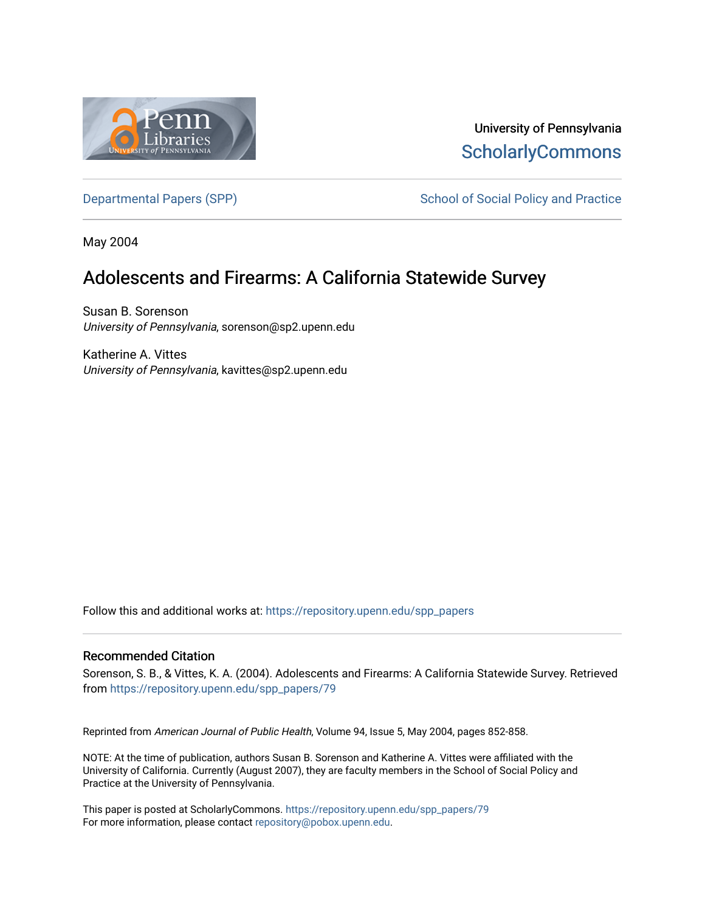

University of Pennsylvania **ScholarlyCommons** 

[Departmental Papers \(SPP\)](https://repository.upenn.edu/spp_papers) School of Social Policy and Practice

May 2004

# Adolescents and Firearms: A California Statewide Survey

Susan B. Sorenson University of Pennsylvania, sorenson@sp2.upenn.edu

Katherine A. Vittes University of Pennsylvania, kavittes@sp2.upenn.edu

Follow this and additional works at: [https://repository.upenn.edu/spp\\_papers](https://repository.upenn.edu/spp_papers?utm_source=repository.upenn.edu%2Fspp_papers%2F79&utm_medium=PDF&utm_campaign=PDFCoverPages) 

### Recommended Citation

Sorenson, S. B., & Vittes, K. A. (2004). Adolescents and Firearms: A California Statewide Survey. Retrieved from [https://repository.upenn.edu/spp\\_papers/79](https://repository.upenn.edu/spp_papers/79?utm_source=repository.upenn.edu%2Fspp_papers%2F79&utm_medium=PDF&utm_campaign=PDFCoverPages)

Reprinted from American Journal of Public Health, Volume 94, Issue 5, May 2004, pages 852-858.

NOTE: At the time of publication, authors Susan B. Sorenson and Katherine A. Vittes were affiliated with the University of California. Currently (August 2007), they are faculty members in the School of Social Policy and Practice at the University of Pennsylvania.

This paper is posted at ScholarlyCommons. [https://repository.upenn.edu/spp\\_papers/79](https://repository.upenn.edu/spp_papers/79)  For more information, please contact [repository@pobox.upenn.edu.](mailto:repository@pobox.upenn.edu)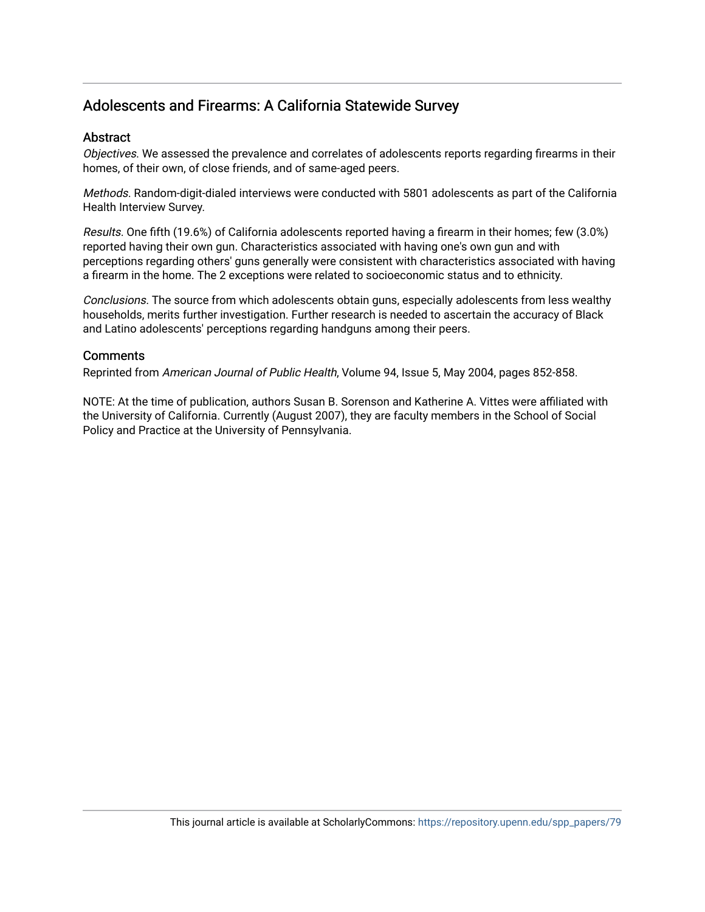## Adolescents and Firearms: A California Statewide Survey

## Abstract

Objectives. We assessed the prevalence and correlates of adolescents reports regarding firearms in their homes, of their own, of close friends, and of same-aged peers.

Methods. Random-digit-dialed interviews were conducted with 5801 adolescents as part of the California Health Interview Survey.

Results. One fifth (19.6%) of California adolescents reported having a firearm in their homes; few (3.0%) reported having their own gun. Characteristics associated with having one's own gun and with perceptions regarding others' guns generally were consistent with characteristics associated with having a firearm in the home. The 2 exceptions were related to socioeconomic status and to ethnicity.

Conclusions. The source from which adolescents obtain guns, especially adolescents from less wealthy households, merits further investigation. Further research is needed to ascertain the accuracy of Black and Latino adolescents' perceptions regarding handguns among their peers.

## **Comments**

Reprinted from American Journal of Public Health, Volume 94, Issue 5, May 2004, pages 852-858.

NOTE: At the time of publication, authors Susan B. Sorenson and Katherine A. Vittes were affiliated with the University of California. Currently (August 2007), they are faculty members in the School of Social Policy and Practice at the University of Pennsylvania.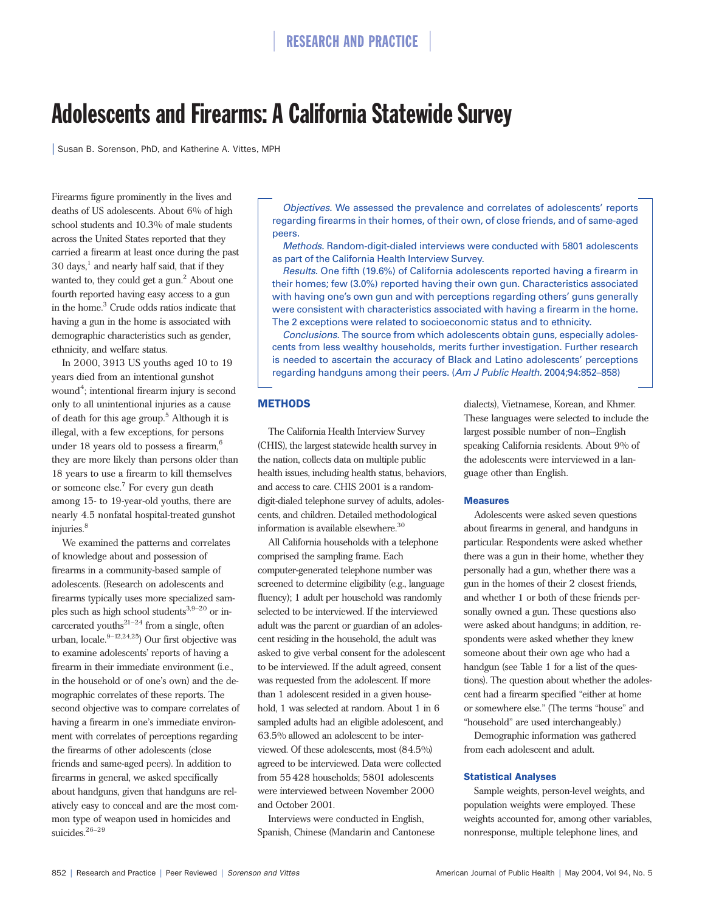# Adolescents and Firearms: A California Statewide Survey

| Susan B. Sorenson, PhD, and Katherine A. Vittes, MPH

Firearms figure prominently in the lives and deaths of US adolescents. About 6% of high school students and 10.3% of male students across the United States reported that they carried a firearm at least once during the past  $30 \text{ days}$ , and nearly half said, that if they wanted to, they could get a gun. $<sup>2</sup>$  About one</sup> fourth reported having easy access to a gun in the home.<sup>3</sup> Crude odds ratios indicate that having a gun in the home is associated with demographic characteristics such as gender, ethnicity, and welfare status.

In 2000, 3913 US youths aged 10 to 19 years died from an intentional gunshot wound<sup>4</sup>; intentional firearm injury is second only to all unintentional injuries as a cause of death for this age group.<sup>5</sup> Although it is illegal, with a few exceptions, for persons under 18 years old to possess a firearm,<sup>6</sup> they are more likely than persons older than 18 years to use a firearm to kill themselves or someone else.<sup>7</sup> For every gun death among 15- to 19-year-old youths, there are nearly 4.5 nonfatal hospital-treated gunshot injuries.<sup>8</sup>

We examined the patterns and correlates of knowledge about and possession of firearms in a community-based sample of adolescents. (Research on adolescents and firearms typically uses more specialized samples such as high school students<sup>3,9–20</sup> or incarcerated youths $^{21-24}$  from a single, often urban, locale. $9-12,24,25$ ) Our first objective was to examine adolescents' reports of having a firearm in their immediate environment (i.e., in the household or of one's own) and the demographic correlates of these reports. The second objective was to compare correlates of having a firearm in one's immediate environment with correlates of perceptions regarding the firearms of other adolescents (close friends and same-aged peers). In addition to firearms in general, we asked specifically about handguns, given that handguns are relatively easy to conceal and are the most common type of weapon used in homicides and suicides.26–29

*Objectives.* We assessed the prevalence and correlates of adolescents' reports regarding firearms in their homes, of their own, of close friends, and of same-aged peers.

*Methods.* Random-digit-dialed interviews were conducted with 5801 adolescents as part of the California Health Interview Survey.

*Results.* One fifth (19.6%) of California adolescents reported having a firearm in their homes; few (3.0%) reported having their own gun. Characteristics associated with having one's own gun and with perceptions regarding others' guns generally were consistent with characteristics associated with having a firearm in the home. The 2 exceptions were related to socioeconomic status and to ethnicity.

*Conclusions.* The source from which adolescents obtain guns, especially adolescents from less wealthy households, merits further investigation. Further research is needed to ascertain the accuracy of Black and Latino adolescents' perceptions regarding handguns among their peers. (*Am J Public Health.* 2004;94:852–858)

#### **METHODS**

The California Health Interview Survey (CHIS), the largest statewide health survey in the nation, collects data on multiple public health issues, including health status, behaviors, and access to care. CHIS 2001 is a randomdigit-dialed telephone survey of adults, adolescents, and children. Detailed methodological information is available elsewhere.<sup>30</sup>

All California households with a telephone comprised the sampling frame. Each computer-generated telephone number was screened to determine eligibility (e.g., language fluency); 1 adult per household was randomly selected to be interviewed. If the interviewed adult was the parent or guardian of an adolescent residing in the household, the adult was asked to give verbal consent for the adolescent to be interviewed. If the adult agreed, consent was requested from the adolescent. If more than 1 adolescent resided in a given household, 1 was selected at random. About 1 in 6 sampled adults had an eligible adolescent, and 63.5% allowed an adolescent to be interviewed. Of these adolescents, most (84.5%) agreed to be interviewed. Data were collected from 55428 households; 5801 adolescents were interviewed between November 2000 and October 2001.

Interviews were conducted in English, Spanish, Chinese (Mandarin and Cantonese dialects), Vietnamese, Korean, and Khmer. These languages were selected to include the largest possible number of non–English speaking California residents. About 9% of the adolescents were interviewed in a language other than English.

#### **Measures**

Adolescents were asked seven questions about firearms in general, and handguns in particular. Respondents were asked whether there was a gun in their home, whether they personally had a gun, whether there was a gun in the homes of their 2 closest friends, and whether 1 or both of these friends personally owned a gun. These questions also were asked about handguns; in addition, respondents were asked whether they knew someone about their own age who had a handgun (see Table 1 for a list of the questions). The question about whether the adolescent had a firearm specified "either at home or somewhere else." (The terms "house" and "household" are used interchangeably.)

Demographic information was gathered from each adolescent and adult.

#### Statistical Analyses

Sample weights, person-level weights, and population weights were employed. These weights accounted for, among other variables, nonresponse, multiple telephone lines, and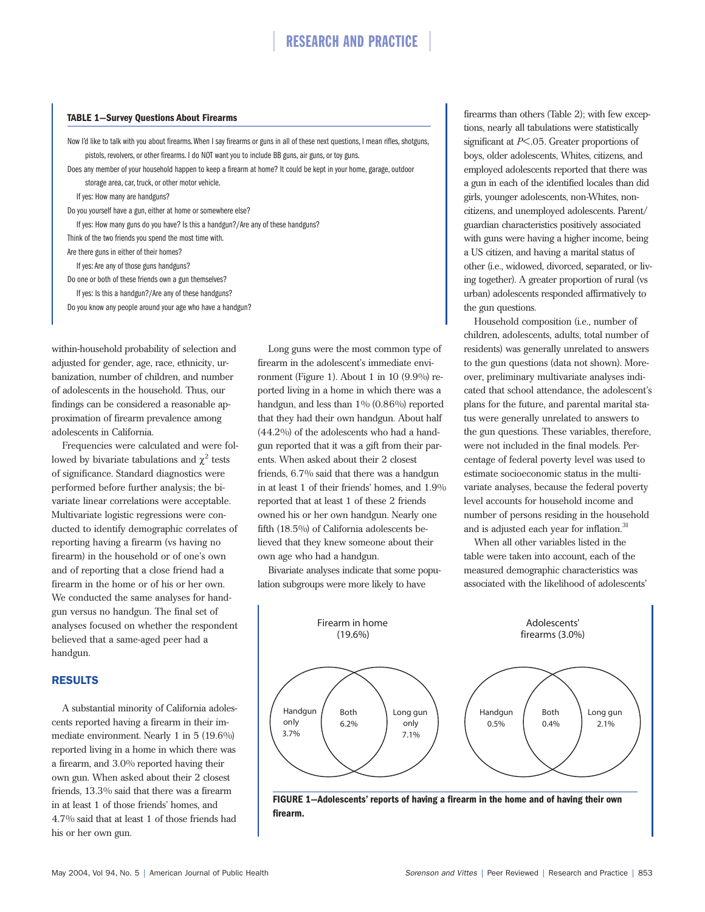#### **TABLE 1—Survey Questions About Firearms**

Now I'd like to talk with you about firearms. When I say firearms or guns in all of these next questions, I mean rifles, shotguns, pistols, revolvers, or other firearms. I do NOT want you to include BB guns, air guns, or toy guns.

Does any member of your household happen to keep a firearm at home? It could be kept in your home, garage, outdoor storage area, car, truck, or other motor vehicle.

If yes: How many are handguns?

Do you yourself have a gun, either at home or somewhere else?

If yes: How many guns do you have? Is this a handgun?/Are any of these handguns?

Think of the two friends you spend the most time with.

Are there guns in either of their homes?

If yes: Are any of those guns handguns?

Do one or both of these friends own a gun themselves?

If yes: Is this a handgun?/Are any of these handguns?

Do you know any people around your age who have a handgun?

within-household probability of selection and adjusted for gender, age, race, ethnicity, urbanization, number of children, and number of adolescents in the household. Thus, our findings can be considered a reasonable approximation of firearm prevalence among adolescents in California.

Frequencies were calculated and were followed by bivariate tabulations and  $\chi^2$  tests of significance. Standard diagnostics were performed before further analysis; the bivariate linear correlations were acceptable. Multivariate logistic regressions were conducted to identify demographic correlates of reporting having a firearm (vs having no firearm) in the household or of one's own and of reporting that a close friend had a firearm in the home or of his or her own. We conducted the same analyses for handgun versus no handgun. The final set of analyses focused on whether the respondent believed that a same-aged peer had a handgun.

#### RESULTS

A substantial minority of California adolescents reported having a firearm in their immediate environment. Nearly 1 in 5 (19.6%) reported living in a home in which there was a firearm, and 3.0% reported having their own gun. When asked about their 2 closest friends, 13.3% said that there was a firearm in at least 1 of those friends' homes, and 4.7% said that at least 1 of those friends had his or her own gun.

Long guns were the most common type of firearm in the adolescent's immediate environment (Figure 1). About 1 in 10 (9.9%) reported living in a home in which there was a handgun, and less than 1% (0.86%) reported that they had their own handgun. About half (44.2%) of the adolescents who had a handgun reported that it was a gift from their parents. When asked about their 2 closest friends, 6.7% said that there was a handgun in at least 1 of their friends' homes, and 1.9% reported that at least 1 of these 2 friends owned his or her own handgun. Nearly one fifth (18.5%) of California adolescents believed that they knew someone about their own age who had a handgun.

Bivariate analyses indicate that some population subgroups were more likely to have

firearms than others (Table 2); with few exceptions, nearly all tabulations were statistically significant at *P*<.05. Greater proportions of boys, older adolescents, Whites, citizens, and employed adolescents reported that there was a gun in each of the identified locales than did girls, younger adolescents, non-Whites, noncitizens, and unemployed adolescents. Parent/ guardian characteristics positively associated with guns were having a higher income, being a US citizen, and having a marital status of other (i.e., widowed, divorced, separated, or living together). A greater proportion of rural (vs urban) adolescents responded affirmatively to the gun questions.

Household composition (i.e., number of children, adolescents, adults, total number of residents) was generally unrelated to answers to the gun questions (data not shown). Moreover, preliminary multivariate analyses indicated that school attendance, the adolescent's plans for the future, and parental marital status were generally unrelated to answers to the gun questions. These variables, therefore, were not included in the final models. Percentage of federal poverty level was used to estimate socioeconomic status in the multivariate analyses, because the federal poverty level accounts for household income and number of persons residing in the household and is adjusted each year for inflation.<sup>31</sup>

When all other variables listed in the table were taken into account, each of the measured demographic characteristics was associated with the likelihood of adolescents'



**FIGURE 1—Adolescents' reports of having a firearm in the home and of having their own firearm.**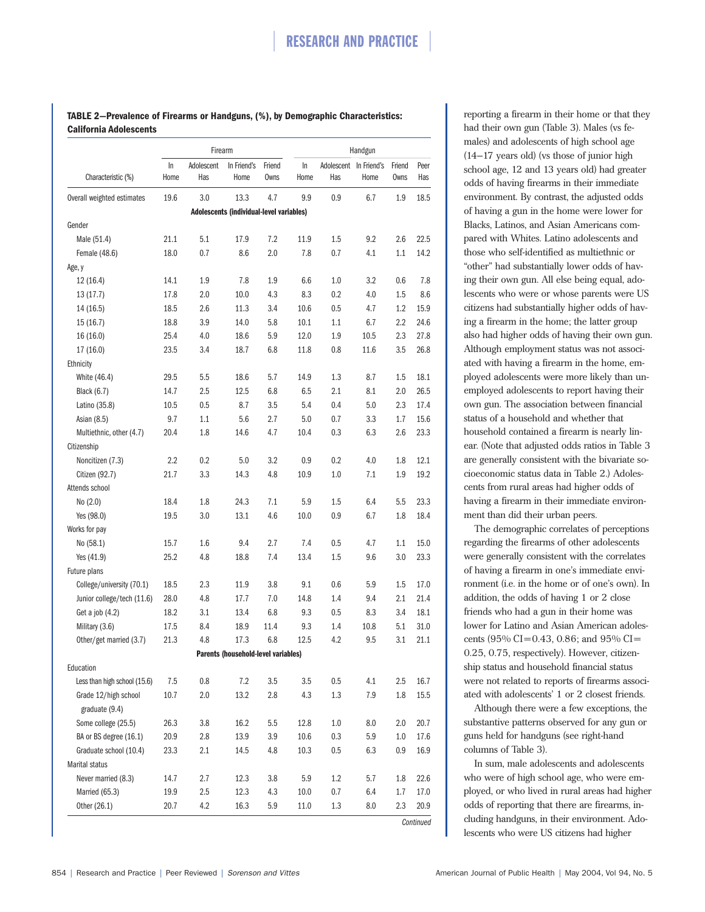#### **TABLE 2—Prevalence of Firearms or Handguns, (%), by Demographic Characteristics: California Adolescents**

|                              |            | Firearm           |                                          | Handgun        |            |                               |      |                |             |
|------------------------------|------------|-------------------|------------------------------------------|----------------|------------|-------------------------------|------|----------------|-------------|
| Characteristic (%)           | In<br>Home | Adolescent<br>Has | In Friend's<br>Home                      | Friend<br>Owns | In<br>Home | Adolescent In Friend's<br>Has | Home | Friend<br>Owns | Peer<br>Has |
| Overall weighted estimates   | 19.6       | 3.0               | 13.3                                     | 4.7            | 9.9        | 0.9                           | 6.7  | 1.9            | 18.5        |
|                              |            |                   | Adolescents (individual-level variables) |                |            |                               |      |                |             |
| Gender                       |            |                   |                                          |                |            |                               |      |                |             |
| Male (51.4)                  | 21.1       | 5.1               | 17.9                                     | 7.2            | 11.9       | 1.5                           | 9.2  | 2.6            | 22.5        |
| Female (48.6)                | 18.0       | 0.7               | 8.6                                      | 2.0            | 7.8        | 0.7                           | 4.1  | 1.1            | 14.2        |
| Age, y                       |            |                   |                                          |                |            |                               |      |                |             |
| 12 (16.4)                    | 14.1       | 1.9               | 7.8                                      | 1.9            | 6.6        | 1.0                           | 3.2  | 0.6            | 7.8         |
| 13 (17.7)                    | 17.8       | 2.0               | 10.0                                     | 4.3            | 8.3        | 0.2                           | 4.0  | 1.5            | 8.6         |
| 14 (16.5)                    | 18.5       | 2.6               | 11.3                                     | 3.4            | 10.6       | 0.5                           | 4.7  | 1.2            | 15.9        |
| 15(16.7)                     | 18.8       | 3.9               | 14.0                                     | 5.8            | 10.1       | 1.1                           | 6.7  | 2.2            | 24.6        |
| 16(16.0)                     | 25.4       | 4.0               | 18.6                                     | 5.9            | 12.0       | 1.9                           | 10.5 | 2.3            | 27.8        |
| 17(16.0)                     | 23.5       | 3.4               | 18.7                                     | 6.8            | 11.8       | 0.8                           | 11.6 | 3.5            | 26.8        |
| Ethnicity                    |            |                   |                                          |                |            |                               |      |                |             |
| White (46.4)                 | 29.5       | 5.5               | 18.6                                     | 5.7            | 14.9       | 1.3                           | 8.7  | 1.5            | 18.1        |
| <b>Black (6.7)</b>           | 14.7       | 2.5               | 12.5                                     | 6.8            | 6.5        | 2.1                           | 8.1  | 2.0            | 26.5        |
| Latino (35.8)                | 10.5       | 0.5               | 8.7                                      | 3.5            | 5.4        | 0.4                           | 5.0  | 2.3            | 17.4        |
| Asian (8.5)                  | 9.7        | 1.1               | 5.6                                      | 2.7            | 5.0        | 0.7                           | 3.3  | 1.7            | 15.6        |
| Multiethnic, other (4.7)     | 20.4       | 1.8               | 14.6                                     | 4.7            | 10.4       | 0.3                           | 6.3  | 2.6            | 23.3        |
| Citizenship                  |            |                   |                                          |                |            |                               |      |                |             |
| Noncitizen (7.3)             | 2.2        | 0.2               | 5.0                                      | 3.2            | 0.9        | 0.2                           | 4.0  | 1.8            | 12.1        |
| Citizen (92.7)               | 21.7       | 3.3               | 14.3                                     | 4.8            | 10.9       | 1.0                           | 7.1  | 1.9            | 19.2        |
| Attends school               |            |                   |                                          |                |            |                               |      |                |             |
| No (2.0)                     | 18.4       | 1.8               | 24.3                                     | 7.1            | 5.9        | 1.5                           | 6.4  | 5.5            | 23.3        |
| Yes (98.0)                   | 19.5       | 3.0               | 13.1                                     | 4.6            | 10.0       | 0.9                           | 6.7  | 1.8            | 18.4        |
| Works for pay                |            |                   |                                          |                |            |                               |      |                |             |
| No (58.1)                    | 15.7       | 1.6               | 9.4                                      | 2.7            | 7.4        | 0.5                           | 4.7  | 1.1            | 15.0        |
| Yes (41.9)                   | 25.2       | 4.8               | 18.8                                     | 7.4            | 13.4       | 1.5                           | 9.6  | 3.0            | 23.3        |
| Future plans                 |            |                   |                                          |                |            |                               |      |                |             |
| College/university (70.1)    | 18.5       | 2.3               | 11.9                                     | 3.8            | 9.1        | 0.6                           | 5.9  | 1.5            | 17.0        |
| Junior college/tech (11.6)   | 28.0       | 4.8               | 17.7                                     | 7.0            | 14.8       | 1.4                           | 9.4  | 2.1            | 21.4        |
| Get a job $(4.2)$            | 18.2       | 3.1               | 13.4                                     | 6.8            | 9.3        | 0.5                           | 8.3  | 3.4            | 18.1        |
| Military (3.6)               | 17.5       | 8.4               | 18.9                                     | 11.4           | 9.3        | 1.4                           | 10.8 | 5.1            | 31.0        |
| Other/get married (3.7)      | 21.3       | 4.8               | 17.3                                     | 6.8            | 12.5       | 4.2                           | 9.5  | 3.1            | 21.1        |
|                              |            |                   | Parents (household-level variables)      |                |            |                               |      |                |             |
| Education                    |            |                   |                                          |                |            |                               |      |                |             |
| Less than high school (15.6) | 7.5        | 0.8               | 7.2                                      | 3.5            | 3.5        | 0.5                           | 4.1  | 2.5            | 16.7        |
| Grade 12/high school         | 10.7       | 2.0               | 13.2                                     | 2.8            | 4.3        | 1.3                           | 7.9  | 1.8            | 15.5        |
| graduate (9.4)               |            |                   |                                          |                |            |                               |      |                |             |
| Some college (25.5)          | 26.3       | 3.8               | 16.2                                     | 5.5            | 12.8       | $1.0\,$                       | 8.0  | 2.0            | 20.7        |
| BA or BS degree (16.1)       | 20.9       | 2.8               | 13.9                                     | 3.9            | 10.6       | 0.3                           | 5.9  | $1.0\,$        | 17.6        |
| Graduate school (10.4)       | 23.3       | 2.1               | 14.5                                     | 4.8            | 10.3       | 0.5                           | 6.3  | 0.9            | 16.9        |
| Marital status               |            |                   |                                          |                |            |                               |      |                |             |
| Never married (8.3)          | 14.7       | 2.7               | 12.3                                     | 3.8            | 5.9        | 1.2                           | 5.7  | 1.8            | 22.6        |
| Married (65.3)               | 19.9       | 2.5               | 12.3                                     | 4.3            | 10.0       | 0.7                           | 6.4  | 1.7            | 17.0        |
| Other (26.1)                 | 20.7       | 4.2               | 16.3                                     | 5.9            | 11.0       | 1.3                           | 8.0  | 2.3            | 20.9        |
|                              |            |                   |                                          |                |            |                               |      |                | Continued   |

reporting a firearm in their home or that they had their own gun (Table 3). Males (vs females) and adolescents of high school age (14–17 years old) (vs those of junior high school age, 12 and 13 years old) had greater odds of having firearms in their immediate environment. By contrast, the adjusted odds of having a gun in the home were lower for Blacks, Latinos, and Asian Americans compared with Whites. Latino adolescents and those who self-identified as multiethnic or "other" had substantially lower odds of having their own gun. All else being equal, adolescents who were or whose parents were US citizens had substantially higher odds of having a firearm in the home; the latter group also had higher odds of having their own gun. Although employment status was not associated with having a firearm in the home, employed adolescents were more likely than unemployed adolescents to report having their own gun. The association between financial status of a household and whether that household contained a firearm is nearly linear. (Note that adjusted odds ratios in Table 3 are generally consistent with the bivariate socioeconomic status data in Table 2.) Adolescents from rural areas had higher odds of having a firearm in their immediate environment than did their urban peers.

The demographic correlates of perceptions regarding the firearms of other adolescents were generally consistent with the correlates of having a firearm in one's immediate environment (i.e. in the home or of one's own). In addition, the odds of having 1 or 2 close friends who had a gun in their home was lower for Latino and Asian American adolescents (95% CI=0.43, 0.86; and 95% CI= 0.25, 0.75, respectively). However, citizenship status and household financial status were not related to reports of firearms associated with adolescents' 1 or 2 closest friends.

Although there were a few exceptions, the substantive patterns observed for any gun or guns held for handguns (see right-hand columns of Table 3).

In sum, male adolescents and adolescents who were of high school age, who were employed, or who lived in rural areas had higher odds of reporting that there are firearms, including handguns, in their environment. Adolescents who were US citizens had higher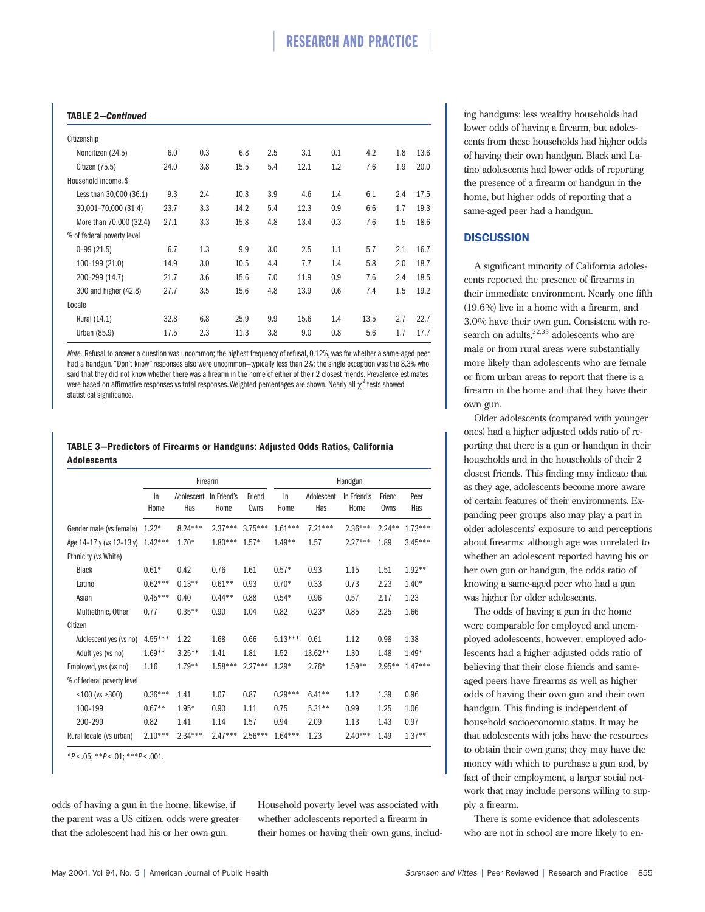#### **TABLE 2—***Continued*

| Citizenship                |      |     |      |     |      |     |      |     |      |
|----------------------------|------|-----|------|-----|------|-----|------|-----|------|
| Noncitizen (24.5)          | 6.0  | 0.3 | 6.8  | 2.5 | 3.1  | 0.1 | 4.2  | 1.8 | 13.6 |
| Citizen (75.5)             | 24.0 | 3.8 | 15.5 | 5.4 | 12.1 | 1.2 | 7.6  | 1.9 | 20.0 |
| Household income. \$       |      |     |      |     |      |     |      |     |      |
| Less than 30,000 (36.1)    | 9.3  | 2.4 | 10.3 | 3.9 | 4.6  | 1.4 | 6.1  | 2.4 | 17.5 |
| 30,001-70,000 (31.4)       | 23.7 | 3.3 | 14.2 | 5.4 | 12.3 | 0.9 | 6.6  | 1.7 | 19.3 |
| More than 70,000 (32.4)    | 27.1 | 3.3 | 15.8 | 4.8 | 13.4 | 0.3 | 7.6  | 1.5 | 18.6 |
| % of federal poverty level |      |     |      |     |      |     |      |     |      |
| $0-99(21.5)$               | 6.7  | 1.3 | 9.9  | 3.0 | 2.5  | 1.1 | 5.7  | 2.1 | 16.7 |
| 100-199 (21.0)             | 14.9 | 3.0 | 10.5 | 4.4 | 7.7  | 1.4 | 5.8  | 2.0 | 18.7 |
| 200-299 (14.7)             | 21.7 | 3.6 | 15.6 | 7.0 | 11.9 | 0.9 | 7.6  | 2.4 | 18.5 |
| 300 and higher (42.8)      | 27.7 | 3.5 | 15.6 | 4.8 | 13.9 | 0.6 | 7.4  | 1.5 | 19.2 |
| Locale                     |      |     |      |     |      |     |      |     |      |
| Rural (14.1)               | 32.8 | 6.8 | 25.9 | 9.9 | 15.6 | 1.4 | 13.5 | 2.7 | 22.7 |
| Urban (85.9)               | 17.5 | 2.3 | 11.3 | 3.8 | 9.0  | 0.8 | 5.6  | 1.7 | 17.7 |
|                            |      |     |      |     |      |     |      |     |      |

*Note.* Refusal to answer a question was uncommon; the highest frequency of refusal, 0.12%, was for whether a same-aged peer had a handgun. "Don't know" responses also were uncommon—typically less than 2%; the single exception was the 8.3% who said that they did not know whether there was a firearm in the home of either of their 2 closest friends. Prevalence estimates were based on affirmative responses vs total responses. Weighted percentages are shown. Nearly all  $\chi^2$  tests showed statistical significance.

#### **TABLE 3—Predictors of Firearms or Handguns: Adjusted Odds Ratios, California Adolescents**

|                            | Firearm    |                   |                     |                | Handgun    |                   |                     |                |             |  |  |
|----------------------------|------------|-------------------|---------------------|----------------|------------|-------------------|---------------------|----------------|-------------|--|--|
|                            | In<br>Home | Adolescent<br>Has | In Friend's<br>Home | Friend<br>Owns | In<br>Home | Adolescent<br>Has | In Friend's<br>Home | Friend<br>Owns | Peer<br>Has |  |  |
| Gender male (vs female)    | $1.22*$    | $8.24***$         | $2.37***$           | $3.75***$      | $1.61***$  | $7.21***$         | $2.36***$           | $2.24**$       | $1.73***$   |  |  |
| Age 14-17 y (vs 12-13 y)   | $1.42***$  | $1.70*$           | $1.80***$           | $1.57*$        | $1.49**$   | 1.57              | $2.27***$           | 1.89           | $3.45***$   |  |  |
| Ethnicity (vs White)       |            |                   |                     |                |            |                   |                     |                |             |  |  |
| Black                      | $0.61*$    | 0.42              | 0.76                | 1.61           | $0.57*$    | 0.93              | 1.15                | 1.51           | $1.92**$    |  |  |
| Latino                     | $0.62***$  | $0.13**$          | $0.61**$            | 0.93           | $0.70*$    | 0.33              | 0.73                | 2.23           | $1.40*$     |  |  |
| Asian                      | $0.45***$  | 0.40              | $0.44**$            | 0.88           | $0.54*$    | 0.96              | 0.57                | 2.17           | 1.23        |  |  |
| Multiethnic, Other         | 0.77       | $0.35**$          | 0.90                | 1.04           | 0.82       | $0.23*$           | 0.85                | 2.25           | 1.66        |  |  |
| Citizen                    |            |                   |                     |                |            |                   |                     |                |             |  |  |
| Adolescent yes (vs no)     | $4.55***$  | 1.22              | 1.68                | 0.66           | $5.13***$  | 0.61              | 1.12                | 0.98           | 1.38        |  |  |
| Adult yes (vs no)          | $1.69**$   | $3.25**$          | 1.41                | 1.81           | 1.52       | 13.62**           | 1.30                | 1.48           | $1.49*$     |  |  |
| Employed, yes (vs no)      | 1.16       | $1.79**$          | $1.58***$           | $2.27***$      | $1.29*$    | $2.76*$           | $1.59**$            | $2.95**$       | $1.47***$   |  |  |
| % of federal poverty level |            |                   |                     |                |            |                   |                     |                |             |  |  |
| $<$ 100 (vs $>$ 300)       | $0.36***$  | 1.41              | 1.07                | 0.87           | $0.29***$  | $6.41**$          | 1.12                | 1.39           | 0.96        |  |  |
| 100-199                    | $0.67**$   | $1.95*$           | 0.90                | 1.11           | 0.75       | $5.31**$          | 0.99                | 1.25           | 1.06        |  |  |
| 200-299                    | 0.82       | 1.41              | 1.14                | 1.57           | 0.94       | 2.09              | 1.13                | 1.43           | 0.97        |  |  |
| Rural locale (vs urban)    | $2.10***$  | $2.34***$         | $2.47***$           | $2.56***$      | $1.64***$  | 1.23              | $2.40***$           | 1.49           | $1.37**$    |  |  |

\**P* < .05; \*\**P* < .01; \*\*\**P* < .001.

odds of having a gun in the home; likewise, if the parent was a US citizen, odds were greater that the adolescent had his or her own gun.

Household poverty level was associated with whether adolescents reported a firearm in their homes or having their own guns, including handguns: less wealthy households had lower odds of having a firearm, but adolescents from these households had higher odds of having their own handgun. Black and Latino adolescents had lower odds of reporting the presence of a firearm or handgun in the home, but higher odds of reporting that a same-aged peer had a handgun.

#### **DISCUSSION**

A significant minority of California adolescents reported the presence of firearms in their immediate environment. Nearly one fifth (19.6%) live in a home with a firearm, and 3.0% have their own gun. Consistent with research on adults, $32,33$  adolescents who are male or from rural areas were substantially more likely than adolescents who are female or from urban areas to report that there is a firearm in the home and that they have their own gun.

Older adolescents (compared with younger ones) had a higher adjusted odds ratio of reporting that there is a gun or handgun in their households and in the households of their 2 closest friends. This finding may indicate that as they age, adolescents become more aware of certain features of their environments. Expanding peer groups also may play a part in older adolescents' exposure to and perceptions about firearms: although age was unrelated to whether an adolescent reported having his or her own gun or handgun, the odds ratio of knowing a same-aged peer who had a gun was higher for older adolescents.

The odds of having a gun in the home were comparable for employed and unemployed adolescents; however, employed adolescents had a higher adjusted odds ratio of believing that their close friends and sameaged peers have firearms as well as higher odds of having their own gun and their own handgun. This finding is independent of household socioeconomic status. It may be that adolescents with jobs have the resources to obtain their own guns; they may have the money with which to purchase a gun and, by fact of their employment, a larger social network that may include persons willing to supply a firearm.

There is some evidence that adolescents who are not in school are more likely to en-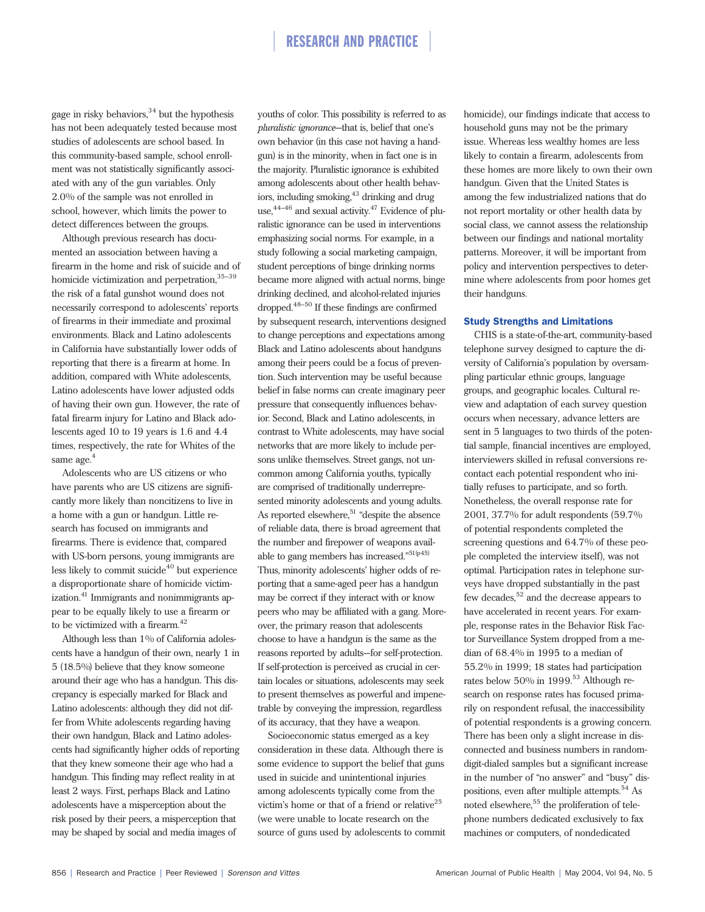# RESEARCH AND PRACTICE

gage in risky behaviors,  $34$  but the hypothesis has not been adequately tested because most studies of adolescents are school based. In this community-based sample, school enrollment was not statistically significantly associated with any of the gun variables. Only 2.0% of the sample was not enrolled in school, however, which limits the power to detect differences between the groups.

Although previous research has documented an association between having a firearm in the home and risk of suicide and of homicide victimization and perpetration, 35-39 the risk of a fatal gunshot wound does not necessarily correspond to adolescents' reports of firearms in their immediate and proximal environments. Black and Latino adolescents in California have substantially lower odds of reporting that there is a firearm at home. In addition, compared with White adolescents, Latino adolescents have lower adjusted odds of having their own gun. However, the rate of fatal firearm injury for Latino and Black adolescents aged 10 to 19 years is 1.6 and 4.4 times, respectively, the rate for Whites of the same age.<sup>4</sup>

Adolescents who are US citizens or who have parents who are US citizens are significantly more likely than noncitizens to live in a home with a gun or handgun. Little research has focused on immigrants and firearms. There is evidence that, compared with US-born persons, young immigrants are less likely to commit suicide $40$  but experience a disproportionate share of homicide victimization.<sup>41</sup> Immigrants and nonimmigrants appear to be equally likely to use a firearm or to be victimized with a firearm. $^{42}$ 

Although less than 1% of California adolescents have a handgun of their own, nearly 1 in 5 (18.5%) believe that they know someone around their age who has a handgun. This discrepancy is especially marked for Black and Latino adolescents: although they did not differ from White adolescents regarding having their own handgun, Black and Latino adolescents had significantly higher odds of reporting that they knew someone their age who had a handgun. This finding may reflect reality in at least 2 ways. First, perhaps Black and Latino adolescents have a misperception about the risk posed by their peers, a misperception that may be shaped by social and media images of

youths of color. This possibility is referred to as *pluralistic ignorance*—that is, belief that one's own behavior (in this case not having a handgun) is in the minority, when in fact one is in the majority. Pluralistic ignorance is exhibited among adolescents about other health behaviors, including smoking, <sup>43</sup> drinking and drug use, $44-46$  and sexual activity.<sup>47</sup> Evidence of pluralistic ignorance can be used in interventions emphasizing social norms. For example, in a study following a social marketing campaign, student perceptions of binge drinking norms became more aligned with actual norms, binge drinking declined, and alcohol-related injuries dropped.48–50 If these findings are confirmed by subsequent research, interventions designed to change perceptions and expectations among Black and Latino adolescents about handguns among their peers could be a focus of prevention. Such intervention may be useful because belief in false norms can create imaginary peer pressure that consequently influences behavior. Second, Black and Latino adolescents, in contrast to White adolescents, may have social networks that are more likely to include persons unlike themselves. Street gangs, not uncommon among California youths, typically are comprised of traditionally underrepresented minority adolescents and young adults. As reported elsewhere,<sup>51</sup> "despite the absence of reliable data, there is broad agreement that the number and firepower of weapons available to gang members has increased."<sup>51(p45)</sup> Thus, minority adolescents' higher odds of reporting that a same-aged peer has a handgun may be correct if they interact with or know peers who may be affiliated with a gang. Moreover, the primary reason that adolescents choose to have a handgun is the same as the reasons reported by adults—for self-protection. If self-protection is perceived as crucial in certain locales or situations, adolescents may seek to present themselves as powerful and impenetrable by conveying the impression, regardless of its accuracy, that they have a weapon.

Socioeconomic status emerged as a key consideration in these data. Although there is some evidence to support the belief that guns used in suicide and unintentional injuries among adolescents typically come from the victim's home or that of a friend or relative<sup>25</sup> (we were unable to locate research on the source of guns used by adolescents to commit homicide), our findings indicate that access to household guns may not be the primary issue. Whereas less wealthy homes are less likely to contain a firearm, adolescents from these homes are more likely to own their own handgun. Given that the United States is among the few industrialized nations that do not report mortality or other health data by social class, we cannot assess the relationship between our findings and national mortality patterns. Moreover, it will be important from policy and intervention perspectives to determine where adolescents from poor homes get their handguns.

#### Study Strengths and Limitations

CHIS is a state-of-the-art, community-based telephone survey designed to capture the diversity of California's population by oversampling particular ethnic groups, language groups, and geographic locales. Cultural review and adaptation of each survey question occurs when necessary, advance letters are sent in 5 languages to two thirds of the potential sample, financial incentives are employed, interviewers skilled in refusal conversions recontact each potential respondent who initially refuses to participate, and so forth. Nonetheless, the overall response rate for 2001, 37.7% for adult respondents (59.7% of potential respondents completed the screening questions and 64.7% of these people completed the interview itself), was not optimal. Participation rates in telephone surveys have dropped substantially in the past few decades, $52$  and the decrease appears to have accelerated in recent years. For example, response rates in the Behavior Risk Factor Surveillance System dropped from a median of 68.4% in 1995 to a median of 55.2% in 1999; 18 states had participation rates below 50% in 1999.<sup>53</sup> Although research on response rates has focused primarily on respondent refusal, the inaccessibility of potential respondents is a growing concern. There has been only a slight increase in disconnected and business numbers in randomdigit-dialed samples but a significant increase in the number of "no answer" and "busy" dispositions, even after multiple attempts.<sup>54</sup> As noted elsewhere,<sup>55</sup> the proliferation of telephone numbers dedicated exclusively to fax machines or computers, of nondedicated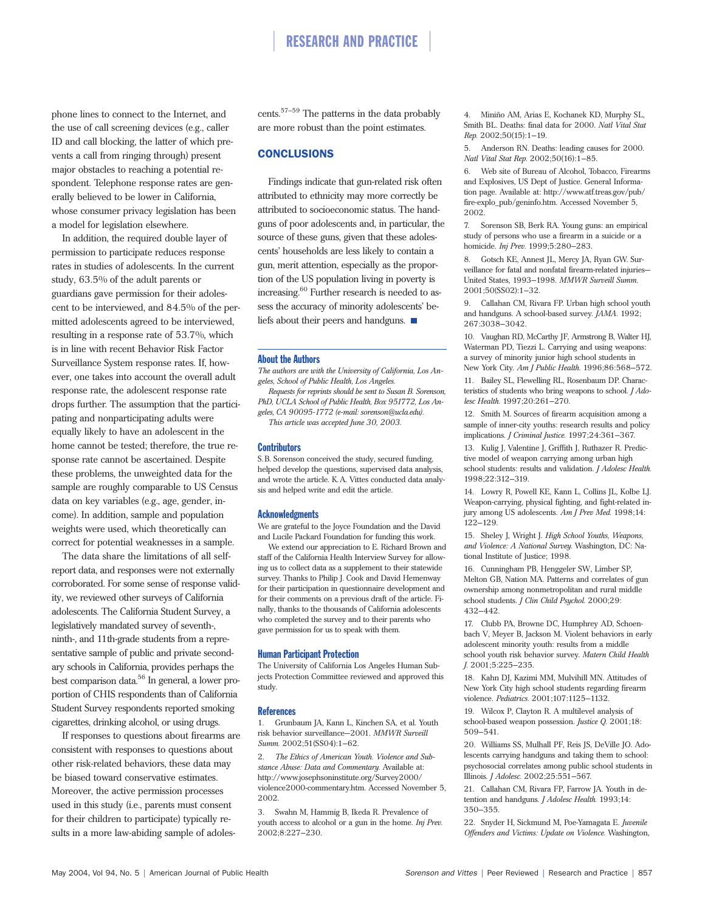phone lines to connect to the Internet, and the use of call screening devices (e.g., caller ID and call blocking, the latter of which prevents a call from ringing through) present major obstacles to reaching a potential respondent. Telephone response rates are generally believed to be lower in California, whose consumer privacy legislation has been a model for legislation elsewhere.

In addition, the required double layer of permission to participate reduces response rates in studies of adolescents. In the current study, 63.5% of the adult parents or guardians gave permission for their adolescent to be interviewed, and 84.5% of the permitted adolescents agreed to be interviewed, resulting in a response rate of 53.7%, which is in line with recent Behavior Risk Factor Surveillance System response rates. If, however, one takes into account the overall adult response rate, the adolescent response rate drops further. The assumption that the participating and nonparticipating adults were equally likely to have an adolescent in the home cannot be tested; therefore, the true response rate cannot be ascertained. Despite these problems, the unweighted data for the sample are roughly comparable to US Census data on key variables (e.g., age, gender, income). In addition, sample and population weights were used, which theoretically can correct for potential weaknesses in a sample.

The data share the limitations of all selfreport data, and responses were not externally corroborated. For some sense of response validity, we reviewed other surveys of California adolescents. The California Student Survey, a legislatively mandated survey of seventh-, ninth-, and 11th-grade students from a representative sample of public and private secondary schools in California, provides perhaps the best comparison data.<sup>56</sup> In general, a lower proportion of CHIS respondents than of California Student Survey respondents reported smoking cigarettes, drinking alcohol, or using drugs.

If responses to questions about firearms are consistent with responses to questions about other risk-related behaviors, these data may be biased toward conservative estimates. Moreover, the active permission processes used in this study (i.e., parents must consent for their children to participate) typically results in a more law-abiding sample of adolescents.57–59 The patterns in the data probably are more robust than the point estimates.

#### CONCLUSIONS

Findings indicate that gun-related risk often attributed to ethnicity may more correctly be attributed to socioeconomic status. The handguns of poor adolescents and, in particular, the source of these guns, given that these adolescents' households are less likely to contain a gun, merit attention, especially as the proportion of the US population living in poverty is increasing.60 Further research is needed to assess the accuracy of minority adolescents' beliefs about their peers and handguns.

#### About the Authors

*The authors are with the University of California, Los Angeles, School of Public Health, Los Angeles.*

*Requests for reprints should be sent to Susan B. Sorenson, PhD, UCLA School of Public Health, Box 951772, Los Angeles, CA 90095-1772 (e-mail: sorenson@ucla.edu). This article was accepted June 30, 2003.*

#### **Contributors**

S.B. Sorenson conceived the study, secured funding, helped develop the questions, supervised data analysis, and wrote the article. K.A. Vittes conducted data analysis and helped write and edit the article.

#### **Acknowledgments**

We are grateful to the Joyce Foundation and the David and Lucile Packard Foundation for funding this work.

We extend our appreciation to E. Richard Brown and staff of the California Health Interview Survey for allowing us to collect data as a supplement to their statewide survey. Thanks to Philip J. Cook and David Hemenway for their participation in questionnaire development and for their comments on a previous draft of the article. Finally, thanks to the thousands of California adolescents who completed the survey and to their parents who gave permission for us to speak with them.

#### Human Participant Protection

The University of California Los Angeles Human Subjects Protection Committee reviewed and approved this study.

#### **References**

1. Grunbaum JA, Kann L, Kinchen SA, et al. Youth risk behavior surveillance—2001. *MMWR Surveill Summ.* 2002;51(SS04):1–62.

2. *The Ethics of American Youth. Violence and Substance Abuse: Data and Commentary.* Available at: http://www.josephsoninstitute.org/Survey2000/ violence2000-commentary.htm. Accessed November 5, 2002.

3. Swahn M, Hammig B, Ikeda R. Prevalence of youth access to alcohol or a gun in the home. *Inj Prev.* 2002;8:227–230.

4. Miniño AM, Arias E, Kochanek KD, Murphy SL, Smith BL. Deaths: final data for 2000. *Natl Vital Stat Rep.* 2002;50(15):1–19.

5. Anderson RN. Deaths: leading causes for 2000. *Natl Vital Stat Rep.* 2002;50(16):1–85.

6. Web site of Bureau of Alcohol, Tobacco, Firearms and Explosives, US Dept of Justice. General Information page. Available at: http://www.atf.treas.gov/pub/ fire-explo\_pub/geninfo.htm. Accessed November 5, 2002.

7. Sorenson SB, Berk RA. Young guns: an empirical study of persons who use a firearm in a suicide or a homicide. *Inj Prev.* 1999;5:280–283.

8. Gotsch KE, Annest JL, Mercy JA, Ryan GW. Surveillance for fatal and nonfatal firearm-related injuries— United States, 1993–1998. *MMWR Surveill Summ.* 2001;50(SS02):1–32.

9. Callahan CM, Rivara FP. Urban high school youth and handguns. A school-based survey. *JAMA.* 1992; 267:3038–3042.

10. Vaughan RD, McCarthy JF, Armstrong B, Walter HJ, Waterman PD, Tiezzi L. Carrying and using weapons: a survey of minority junior high school students in New York City. *Am J Public Health.* 1996;86:568–572.

11. Bailey SL, Flewelling RL, Rosenbaum DP. Characteristics of students who bring weapons to school. *J Adolesc Health.* 1997;20:261–270.

12. Smith M. Sources of firearm acquisition among a sample of inner-city youths: research results and policy implications. *J Criminal Justice.* 1997;24:361–367.

13. Kulig J, Valentine J, Griffith J, Ruthazer R. Predictive model of weapon carrying among urban high school students: results and validation. *J Adolesc Health.* 1998;22:312–319.

14. Lowry R, Powell KE, Kann L, Collins JL, Kolbe LJ. Weapon-carrying, physical fighting, and fight-related injury among US adolescents. *Am J Prev Med.* 1998;14: 122–129.

15. Sheley J, Wright J. *High School Youths, Weapons, and Violence: A National Survey.* Washington, DC: National Institute of Justice; 1998.

16. Cunningham PB, Henggeler SW, Limber SP, Melton GB, Nation MA. Patterns and correlates of gun ownership among nonmetropolitan and rural middle school students. *J Clin Child Psychol.* 2000;29: 432–442.

17. Clubb PA, Browne DC, Humphrey AD, Schoenbach V, Meyer B, Jackson M. Violent behaviors in early adolescent minority youth: results from a middle school youth risk behavior survey. *Matern Child Health J.* 2001;5:225–235.

18. Kahn DJ, Kazimi MM, Mulvihill MN. Attitudes of New York City high school students regarding firearm violence. *Pediatrics.* 2001;107:1125–1132.

19. Wilcox P, Clayton R. A multilevel analysis of school-based weapon possession. *Justice Q.* 2001;18: 509–541.

20. Williams SS, Mulhall PF, Reis JS, DeVille JO. Adolescents carrying handguns and taking them to school: psychosocial correlates among public school students in Illinois. *J Adolesc.* 2002;25:551–567.

21. Callahan CM, Rivara FP, Farrow JA. Youth in detention and handguns. *J Adolesc Health.* 1993;14: 350–355.

22. Snyder H, Sickmund M, Poe-Yamagata E. *Juvenile Offenders and Victims: Update on Violence.* Washington,